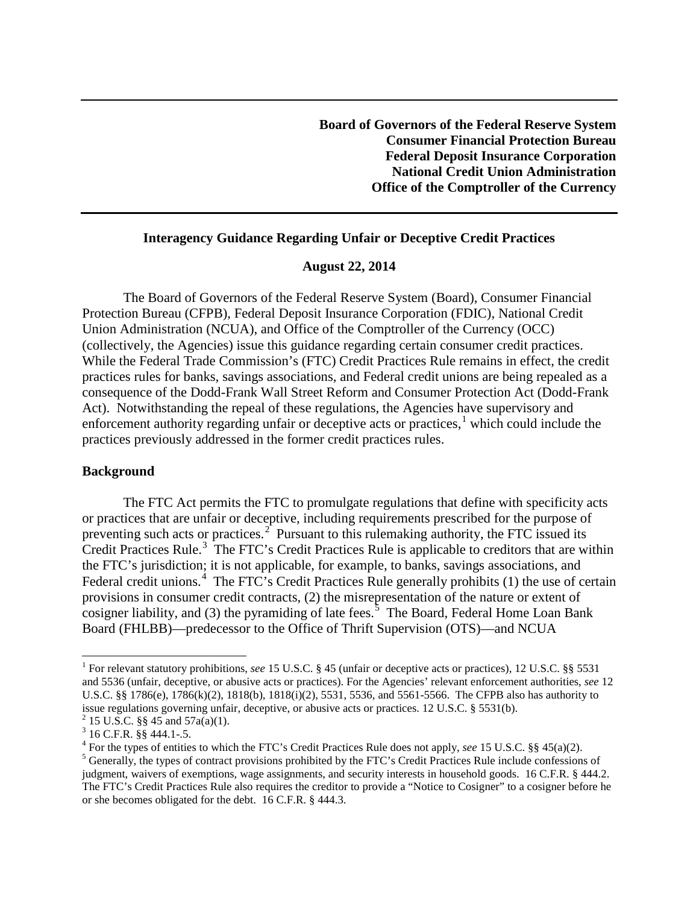**Board of Governors of the Federal Reserve System Consumer Financial Protection Bureau Federal Deposit Insurance Corporation National Credit Union Administration Office of the Comptroller of the Currency** 

## **Interagency Guidance Regarding Unfair or Deceptive Credit Practices**

## **August 22, 2014**

The Board of Governors of the Federal Reserve System (Board), Consumer Financial Protection Bureau (CFPB), Federal Deposit Insurance Corporation (FDIC), National Credit Union Administration (NCUA), and Office of the Comptroller of the Currency (OCC) (collectively, the Agencies) issue this guidance regarding certain consumer credit practices. While the Federal Trade Commission's (FTC) Credit Practices Rule remains in effect, the credit practices rules for banks, savings associations, and Federal credit unions are being repealed as a consequence of the Dodd-Frank Wall Street Reform and Consumer Protection Act (Dodd-Frank Act). Notwithstanding the repeal of these regulations, the Agencies have supervisory and enforcement authority regarding unfair or deceptive acts or practices,<sup>[1](#page-0-0)</sup> which could include the practices previously addressed in the former credit practices rules.

## **Background**

The FTC Act permits the FTC to promulgate regulations that define with specificity acts or practices that are unfair or deceptive, including requirements prescribed for the purpose of preventing such acts or practices.<sup>[2](#page-0-1)</sup> Pursuant to this rulemaking authority, the FTC issued its Credit Practices Rule.<sup>[3](#page-0-2)</sup> The FTC's Credit Practices Rule is applicable to creditors that are within the FTC's jurisdiction; it is not applicable, for example, to banks, savings associations, and Federal credit unions.<sup>[4](#page-0-3)</sup> The FTC's Credit Practices Rule generally prohibits (1) the use of certain provisions in consumer credit contracts, (2) the misrepresentation of the nature or extent of cosigner liability, and (3) the pyramiding of late fees.<sup>[5](#page-0-4)</sup> The Board, Federal Home Loan Bank Board (FHLBB)—predecessor to the Office of Thrift Supervision (OTS)—and NCUA

<span id="page-0-0"></span><sup>&</sup>lt;sup>1</sup> For relevant statutory prohibitions, *see* 15 U.S.C. § 45 (unfair or deceptive acts or practices), 12 U.S.C. §§ 5531 and 5536 (unfair, deceptive, or abusive acts or practices). For the Agencies' relevant enforcement authorities, *see* 12 U.S.C. §§ 1786(e), 1786(k)(2), 1818(b), 1818(i)(2), 5531, 5536, and 5561-5566. The CFPB also has authority to issue regulations governing unfair, deceptive, or abusive acts or practices. 12 U.S.C. § 5531(b).<br>
<sup>2</sup> 15 U.S.C. §§ 45 and 57a(a)(1).<br>
<sup>3</sup> 16 C.F.R. §§ 444.1-5.<br>
<sup>4</sup> For the types of entities to which the FTC's Credit Pra

<span id="page-0-2"></span><span id="page-0-1"></span>

<span id="page-0-3"></span>

<span id="page-0-4"></span>judgment, waivers of exemptions, wage assignments, and security interests in household goods. 16 C.F.R. § 444.2. The FTC's Credit Practices Rule also requires the creditor to provide a "Notice to Cosigner" to a cosigner before he or she becomes obligated for the debt. 16 C.F.R. § 444.3.